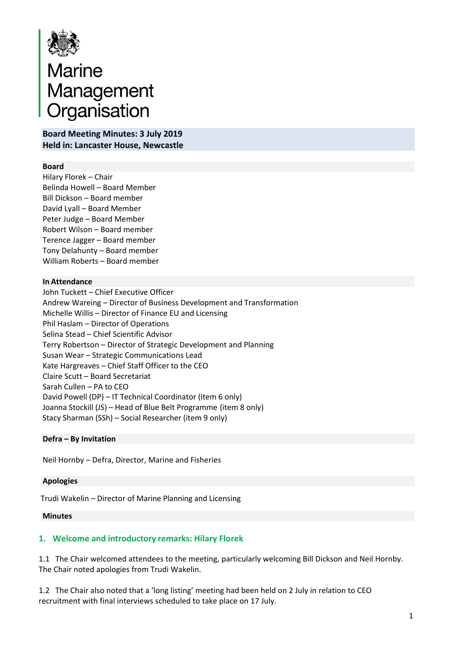

# Marine<br>Management<br>Organisation

**Board Meeting Minutes: 3 July 2019 Held in: Lancaster House, Newcastle**

#### **Board**

Hilary Florek – Chair Belinda Howell – Board Member Bill Dickson – Board member David Lyall – Board Member Peter Judge – Board Member Robert Wilson – Board member Terence Jagger – Board member Tony Delahunty – Board member William Roberts – Board member

#### **In Attendance**

John Tuckett – Chief Executive Officer Andrew Wareing – Director of Business Development and Transformation Michelle Willis – Director of Finance EU and Licensing Phil Haslam – Director of Operations Selina Stead – Chief Scientific Advisor Terry Robertson – Director of Strategic Development and Planning Susan Wear – Strategic Communications Lead Kate Hargreaves – Chief Staff Officer to the CEO Claire Scutt – Board Secretariat Sarah Cullen – PA to CEO David Powell (DP) – IT Technical Coordinator (item 6 only) Joanna Stockill (JS) – Head of Blue Belt Programme (item 8 only) Stacy Sharman (SSh) – Social Researcher (item 9 only)

## **Defra – By Invitation**

Neil Hornby – Defra, Director, Marine and Fisheries

## **Apologies**

Trudi Wakelin – Director of Marine Planning and Licensing

#### **Minutes**

# **1. Welcome and introductory remarks: Hilary Florek**

1.1 The Chair welcomed attendees to the meeting, particularly welcoming Bill Dickson and Neil Hornby. The Chair noted apologies from Trudi Wakelin.

1.2 The Chair also noted that a 'long listing' meeting had been held on 2 July in relation to CEO recruitment with final interviews scheduled to take place on 17 July.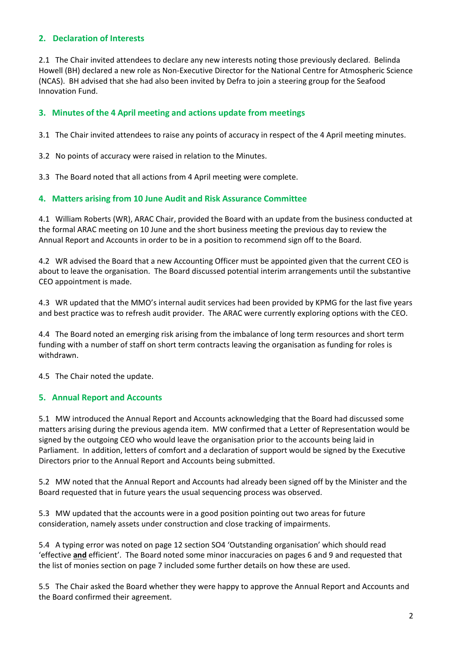## **2. Declaration of Interests**

2.1 The Chair invited attendees to declare any new interests noting those previously declared. Belinda Howell (BH) declared a new role as Non-Executive Director for the National Centre for Atmospheric Science (NCAS). BH advised that she had also been invited by Defra to join a steering group for the Seafood Innovation Fund.

## **3. Minutes of the 4 April meeting and actions update from meetings**

3.1 The Chair invited attendees to raise any points of accuracy in respect of the 4 April meeting minutes.

3.2 No points of accuracy were raised in relation to the Minutes.

3.3 The Board noted that all actions from 4 April meeting were complete.

#### **4. Matters arising from 10 June Audit and Risk Assurance Committee**

4.1 William Roberts (WR), ARAC Chair, provided the Board with an update from the business conducted at the formal ARAC meeting on 10 June and the short business meeting the previous day to review the Annual Report and Accounts in order to be in a position to recommend sign off to the Board.

4.2 WR advised the Board that a new Accounting Officer must be appointed given that the current CEO is about to leave the organisation. The Board discussed potential interim arrangements until the substantive CEO appointment is made.

4.3 WR updated that the MMO's internal audit services had been provided by KPMG for the last five years and best practice was to refresh audit provider. The ARAC were currently exploring options with the CEO.

4.4 The Board noted an emerging risk arising from the imbalance of long term resources and short term funding with a number of staff on short term contracts leaving the organisation as funding for roles is withdrawn.

4.5 The Chair noted the update.

## **5. Annual Report and Accounts**

5.1 MW introduced the Annual Report and Accounts acknowledging that the Board had discussed some matters arising during the previous agenda item. MW confirmed that a Letter of Representation would be signed by the outgoing CEO who would leave the organisation prior to the accounts being laid in Parliament. In addition, letters of comfort and a declaration of support would be signed by the Executive Directors prior to the Annual Report and Accounts being submitted.

5.2 MW noted that the Annual Report and Accounts had already been signed off by the Minister and the Board requested that in future years the usual sequencing process was observed.

5.3 MW updated that the accounts were in a good position pointing out two areas for future consideration, namely assets under construction and close tracking of impairments.

5.4 A typing error was noted on page 12 section SO4 'Outstanding organisation' which should read 'effective **and** efficient'. The Board noted some minor inaccuracies on pages 6 and 9 and requested that the list of monies section on page 7 included some further details on how these are used.

5.5 The Chair asked the Board whether they were happy to approve the Annual Report and Accounts and the Board confirmed their agreement.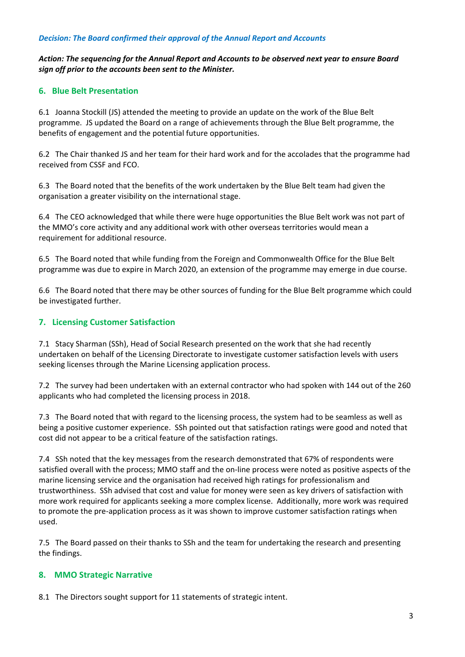#### *Decision: The Board confirmed their approval of the Annual Report and Accounts*

*Action: The sequencing for the Annual Report and Accounts to be observed next year to ensure Board sign off prior to the accounts been sent to the Minister.*

#### **6. Blue Belt Presentation**

6.1 Joanna Stockill (JS) attended the meeting to provide an update on the work of the Blue Belt programme. JS updated the Board on a range of achievements through the Blue Belt programme, the benefits of engagement and the potential future opportunities.

6.2 The Chair thanked JS and her team for their hard work and for the accolades that the programme had received from CSSF and FCO.

6.3 The Board noted that the benefits of the work undertaken by the Blue Belt team had given the organisation a greater visibility on the international stage.

6.4 The CEO acknowledged that while there were huge opportunities the Blue Belt work was not part of the MMO's core activity and any additional work with other overseas territories would mean a requirement for additional resource.

6.5 The Board noted that while funding from the Foreign and Commonwealth Office for the Blue Belt programme was due to expire in March 2020, an extension of the programme may emerge in due course.

6.6 The Board noted that there may be other sources of funding for the Blue Belt programme which could be investigated further.

## **7. Licensing Customer Satisfaction**

7.1 Stacy Sharman (SSh), Head of Social Research presented on the work that she had recently undertaken on behalf of the Licensing Directorate to investigate customer satisfaction levels with users seeking licenses through the Marine Licensing application process.

7.2 The survey had been undertaken with an external contractor who had spoken with 144 out of the 260 applicants who had completed the licensing process in 2018.

7.3 The Board noted that with regard to the licensing process, the system had to be seamless as well as being a positive customer experience. SSh pointed out that satisfaction ratings were good and noted that cost did not appear to be a critical feature of the satisfaction ratings.

7.4 SSh noted that the key messages from the research demonstrated that 67% of respondents were satisfied overall with the process; MMO staff and the on-line process were noted as positive aspects of the marine licensing service and the organisation had received high ratings for professionalism and trustworthiness. SSh advised that cost and value for money were seen as key drivers of satisfaction with more work required for applicants seeking a more complex license. Additionally, more work was required to promote the pre-application process as it was shown to improve customer satisfaction ratings when used.

7.5 The Board passed on their thanks to SSh and the team for undertaking the research and presenting the findings.

#### **8. MMO Strategic Narrative**

8.1 The Directors sought support for 11 statements of strategic intent.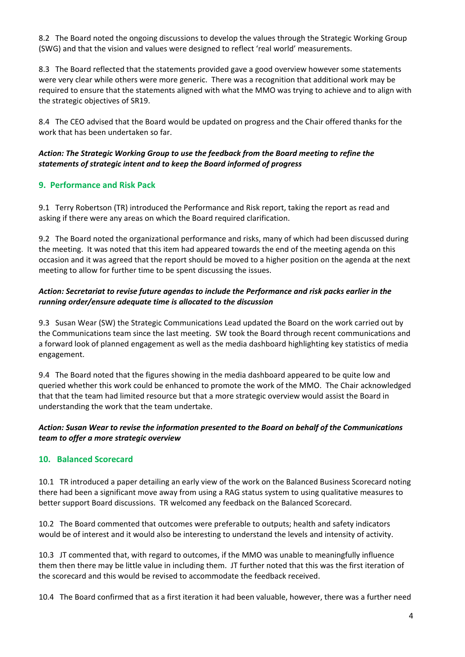8.2 The Board noted the ongoing discussions to develop the values through the Strategic Working Group (SWG) and that the vision and values were designed to reflect 'real world' measurements.

8.3 The Board reflected that the statements provided gave a good overview however some statements were very clear while others were more generic. There was a recognition that additional work may be required to ensure that the statements aligned with what the MMO was trying to achieve and to align with the strategic objectives of SR19.

8.4 The CEO advised that the Board would be updated on progress and the Chair offered thanks for the work that has been undertaken so far.

#### *Action: The Strategic Working Group to use the feedback from the Board meeting to refine the statements of strategic intent and to keep the Board informed of progress*

## **9. Performance and Risk Pack**

9.1 Terry Robertson (TR) introduced the Performance and Risk report, taking the report as read and asking if there were any areas on which the Board required clarification.

9.2 The Board noted the organizational performance and risks, many of which had been discussed during the meeting. It was noted that this item had appeared towards the end of the meeting agenda on this occasion and it was agreed that the report should be moved to a higher position on the agenda at the next meeting to allow for further time to be spent discussing the issues.

## *Action: Secretariat to revise future agendas to include the Performance and risk packs earlier in the running order/ensure adequate time is allocated to the discussion*

9.3 Susan Wear (SW) the Strategic Communications Lead updated the Board on the work carried out by the Communications team since the last meeting. SW took the Board through recent communications and a forward look of planned engagement as well as the media dashboard highlighting key statistics of media engagement.

9.4 The Board noted that the figures showing in the media dashboard appeared to be quite low and queried whether this work could be enhanced to promote the work of the MMO. The Chair acknowledged that that the team had limited resource but that a more strategic overview would assist the Board in understanding the work that the team undertake.

## *Action: Susan Wear to revise the information presented to the Board on behalf of the Communications team to offer a more strategic overview*

## **10. Balanced Scorecard**

10.1 TR introduced a paper detailing an early view of the work on the Balanced Business Scorecard noting there had been a significant move away from using a RAG status system to using qualitative measures to better support Board discussions. TR welcomed any feedback on the Balanced Scorecard.

10.2 The Board commented that outcomes were preferable to outputs; health and safety indicators would be of interest and it would also be interesting to understand the levels and intensity of activity.

10.3 JT commented that, with regard to outcomes, if the MMO was unable to meaningfully influence them then there may be little value in including them. JT further noted that this was the first iteration of the scorecard and this would be revised to accommodate the feedback received.

10.4 The Board confirmed that as a first iteration it had been valuable, however, there was a further need